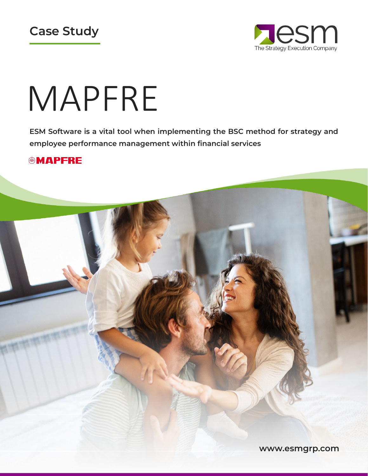



# MAPFRE

ESM Software is a vital tool when implementing the BSC method for strategy and employee performance management within financial services

#### **@MAPFRE**

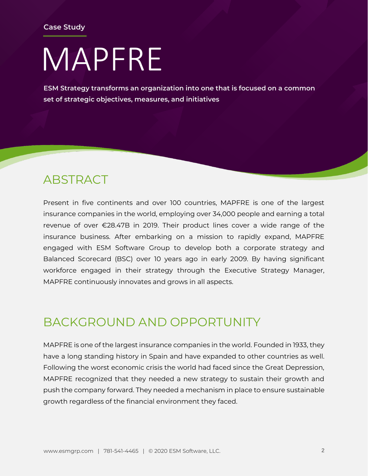## MAPFRE

ESM Strategy transforms an organization into one that is focused on a common set of strategic objectives, measures, and initiatives

#### **ABSTRACT**

Present in five continents and over 100 countries, MAPFRE is one of the largest insurance companies in the world, employing over 34,000 people and earning a total revenue of over €28.47B in 2019. Their product lines cover a wide range of the insurance business. After embarking on a mission to rapidly expand, MAPFRE engaged with ESM Software Group to develop both a corporate strategy and Balanced Scorecard (BSC) over 10 years ago in early 2009. By having significant workforce engaged in their strategy through the Executive Strategy Manager, MAPFRE continuously innovates and grows in all aspects.

## BACKGROUND AND OPPORTUNITY

MAPFRE is one of the largest insurance companies in the world. Founded in 1933, they have a long standing history in Spain and have expanded to other countries as well. Following the worst economic crisis the world had faced since the Great Depression, MAPFRE recognized that they needed a new strategy to sustain their growth and push the company forward. They needed a mechanism in place to ensure sustainable growth regardless of the financial environment they faced.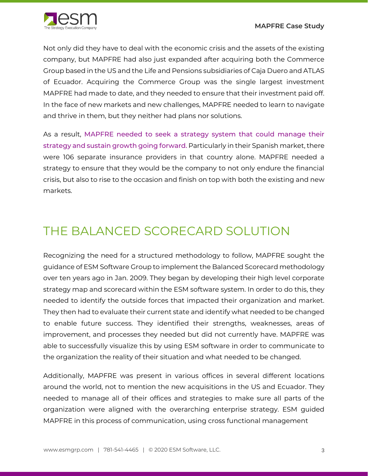

Not only did they have to deal with the economic crisis and the assets of the existing company, but MAPFRE had also just expanded after acquiring both the Commerce Group based in the US and the Life and Pensions subsidiaries of Caja Duero and ATLAS of Ecuador. Acquiring the Commerce Group was the single largest investment MAPFRE had made to date, and they needed to ensure that their investment paid off. In the face of new markets and new challenges, MAPFRE needed to learn to navigate and thrive in them, but they neither had plans nor solutions.

As a result, MAPFRE needed to seek a strategy system that could manage their strategy and sustain growth going forward. Particularly in their Spanish market, there were 106 separate insurance providers in that country alone. MAPFRE needed a strategy to ensure that they would be the company to not only endure the financial crisis, but also to rise to the occasion and finish on top with both the existing and new markets.

#### THE BALANCED SCORECARD SOLUTION

Recognizing the need for a structured methodology to follow, MAPFRE sought the guidance of ESM Software Group to implement the Balanced Scorecard methodology over ten years ago in Jan. 2009. They began by developing their high level corporate strategy map and scorecard within the ESM software system. In order to do this, they needed to identify the outside forces that impacted their organization and market. They then had to evaluate their current state and identify what needed to be changed to enable future success. They identified their strengths, weaknesses, areas of improvement, and processes they needed but did not currently have. MAPFRE was able to successfully visualize this by using ESM software in order to communicate to the organization the reality of their situation and what needed to be changed.

Additionally, MAPFRE was present in various offices in several different locations around the world, not to mention the new acquisitions in the US and Ecuador. They needed to manage all of their offices and strategies to make sure all parts of the organization were aligned with the overarching enterprise strategy. ESM guided MAPFRE in this process of communication, using cross functional management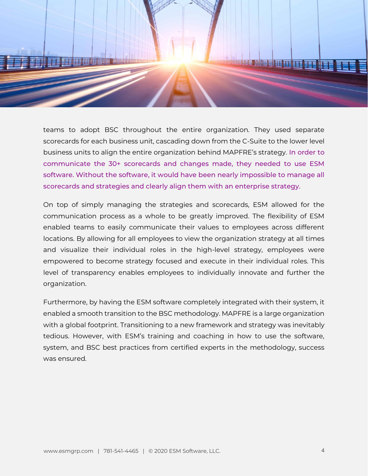

teams to adopt BSC throughout the entire organization. They used separate scorecards for each business unit, cascading down from the C-Suite to the lower level business units to align the entire organization behind MAPFRE's strategy. In order to communicate the 30+ scorecards and changes made, they needed to use ESM software. Without the software, it would have been nearly impossible to manage all scorecards and strategies and clearly align them with an enterprise strategy.

On top of simply managing the strategies and scorecards, ESM allowed for the communication process as a whole to be greatly improved. The flexibility of ESM enabled teams to easily communicate their values to employees across different locations. By allowing for all employees to view the organization strategy at all times and visualize their individual roles in the high-level strategy, employees were empowered to become strategy focused and execute in their individual roles. This level of transparency enables employees to individually innovate and further the organization.

Furthermore, by having the ESM software completely integrated with their system, it enabled a smooth transition to the BSC methodology. MAPFRE is a large organization with a global footprint. Transitioning to a new framework and strategy was inevitably tedious. However, with ESM's training and coaching in how to use the software, system, and BSC best practices from certified experts in the methodology, success was ensured.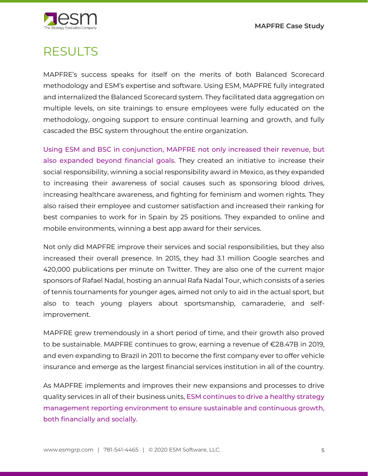MAPFRE Case Study



## RESULTS

MAPFRE's success speaks for itself on the merits of both Balanced Scorecard methodology and ESM's expertise and software. Using ESM, MAPFRE fully integrated and internalized the Balanced Scorecard system. They facilitated data aggregation on multiple levels, on site trainings to ensure employees were fully educated on the methodology, ongoing support to ensure continual learning and growth, and fully cascaded the BSC system throughout the entire organization.

Using ESM and BSC in conjunction, MAPFRE not only increased their revenue, but also expanded beyond financial goals. They created an initiative to increase their social responsibility, winning a social responsibility award in Mexico, as they expanded to increasing their awareness of social causes such as sponsoring blood drives, increasing healthcare awareness, and fighting for feminism and women rights. They also raised their employee and customer satisfaction and increased their ranking for best companies to work for in Spain by 25 positions. They expanded to online and mobile environments, winning a best app award for their services.

Not only did MAPFRE improve their services and social responsibilities, but they also increased their overall presence. In 2015, they had 3.1 million Google searches and 420,000 publications per minute on Twitter. They are also one of the current major sponsors of Rafael Nadal, hosting an annual Rafa Nadal Tour, which consists of a series of tennis tournaments for younger ages, aimed not only to aid in the actual sport, but also to teach young players about sportsmanship, camaraderie, and selfimprovement.

MAPFRE grew tremendously in a short period of time, and their growth also proved to be sustainable. MAPFRE continues to grow, earning a revenue of €28.47B in 2019, and even expanding to Brazil in 2011 to become the first company ever to offer vehicle insurance and emerge as the largest financial services institution in all of the country.

As MAPFRE implements and improves their new expansions and processes to drive quality services in all of their business units, ESM continues to drive a healthy strategy management reporting environment to ensure sustainable and continuous growth, both financially and socially.